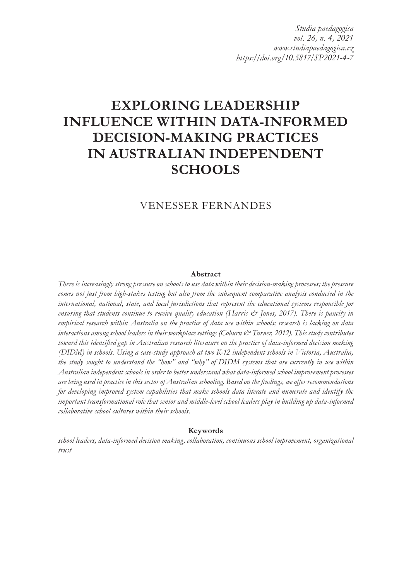*Studia paedagogica vol. 26, n. 4, 2021 www.studiapaedagogica.cz https://doi.org/10.5817/SP2021-4-7*

# **EXPLORING LEADERSHIP INFLUENCE WITHIN DATA-INFORMED DECISION-MAKING PRACTICES IN AUSTRALIAN INDEPENDENT SCHOOLS**

## VENESSER FERNANDES

#### **Abstract**

*There is increasingly strong pressure on schools to use data within their decision-making processes; the pressure comes not just from high-stakes testing but also from the subsequent comparative analysis conducted in the international, national, state, and local jurisdictions that represent the educational systems responsible for ensuring that students continue to receive quality education (Harris & Jones, 2017). There is paucity in empirical research within Australia on the practice of data use within schools; research is lacking on data interactions among school leaders in their workplace settings (Coburn & Turner, 2012). This study contributes toward this identified gap in Australian research literature on the practice of data-informed decision making (DIDM) in schools. Using a case-study approach at two K-12 independent schools in Victoria, Australia, the study sought to understand the "how" and "why" of DIDM systems that are currently in use within Australian independent schools in order to better understand what data-informed school improvement processes are being used in practice in this sector of Australian schooling. Based on the findings, we offer recommendations for developing improved system capabilities that make schools data literate and numerate and identify the important transformational role that senior and middle-level school leaders play in building up data-informed collaborative school cultures within their schools.*

#### **Keywords**

*school leaders, data-informed decision making, collaboration, continuous school improvement, organizational trust*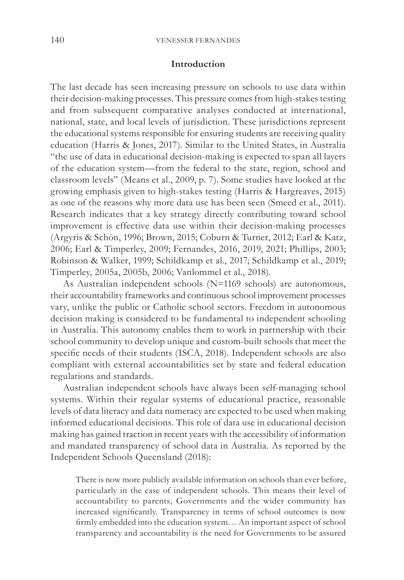#### **Introduction**

The last decade has seen increasing pressure on schools to use data within their decision-making processes. This pressure comes from high-stakes testing and from subsequent comparative analyses conducted at international, national, state, and local levels of jurisdiction. These jurisdictions represent the educational systems responsible for ensuring students are receiving quality education (Harris & Jones, 2017). Similar to the United States, in Australia "the use of data in educational decision-making is expected to span all layers of the education system—from the federal to the state, region, school and classroom levels" (Means et al., 2009, p. 7). Some studies have looked at the growing emphasis given to high-stakes testing (Harris & Hargreaves, 2015) as one of the reasons why more data use has been seen (Smeed et al., 2011). Research indicates that a key strategy directly contributing toward school improvement is effective data use within their decision-making processes (Argyris & Schön, 1996; Brown, 2015; Coburn & Turner, 2012; Earl & Katz, 2006; Earl & Timperley, 2009; Fernandes, 2016, 2019, 2021; Phillips, 2003; Robinson & Walker, 1999; Schildkamp et al., 2017; Schildkamp et al., 2019; Timperley, 2005a, 2005b, 2006; Vanlommel et al., 2018).

As Australian independent schools (N=1169 schools) are autonomous, their accountability frameworks and continuous school improvement processes vary, unlike the public or Catholic school sectors. Freedom in autonomous decision making is considered to be fundamental to independent schooling in Australia. This autonomy enables them to work in partnership with their school community to develop unique and custom-built schools that meet the specific needs of their students (ISCA, 2018). Independent schools are also compliant with external accountabilities set by state and federal education regulations and standards.

Australian independent schools have always been self-managing school systems. Within their regular systems of educational practice, reasonable levels of data literacy and data numeracy are expected to be used when making informed educational decisions. This role of data use in educational decision making has gained traction in recent years with the accessibility of information and mandated transparency of school data in Australia. As reported by the Independent Schools Queensland (2018):

There is now more publicly available information on schools than ever before, particularly in the case of independent schools. This means their level of accountability to parents, Governments and the wider community has increased significantly. Transparency in terms of school outcomes is now firmly embedded into the education system… An important aspect of school transparency and accountability is the need for Governments to be assured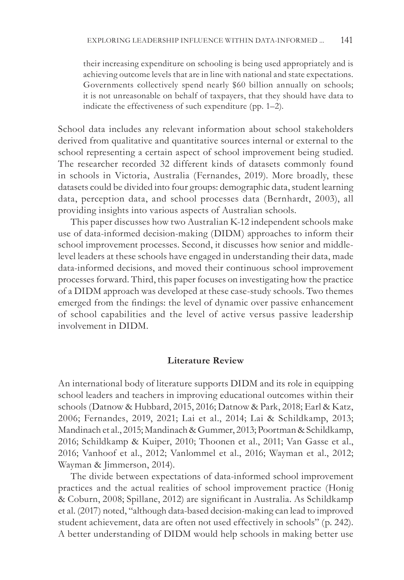their increasing expenditure on schooling is being used appropriately and is achieving outcome levels that are in line with national and state expectations. Governments collectively spend nearly \$60 billion annually on schools; it is not unreasonable on behalf of taxpayers, that they should have data to indicate the effectiveness of such expenditure (pp. 1–2).

School data includes any relevant information about school stakeholders derived from qualitative and quantitative sources internal or external to the school representing a certain aspect of school improvement being studied. The researcher recorded 32 different kinds of datasets commonly found in schools in Victoria, Australia (Fernandes, 2019). More broadly, these datasets could be divided into four groups: demographic data, student learning data, perception data, and school processes data (Bernhardt, 2003), all providing insights into various aspects of Australian schools.

This paper discusses how two Australian K-12 independent schools make use of data-informed decision-making (DIDM) approaches to inform their school improvement processes. Second, it discusses how senior and middlelevel leaders at these schools have engaged in understanding their data, made data-informed decisions, and moved their continuous school improvement processes forward. Third, this paper focuses on investigating how the practice of a DIDM approach was developed at these case-study schools. Two themes emerged from the findings: the level of dynamic over passive enhancement of school capabilities and the level of active versus passive leadership involvement in DIDM.

#### **Literature Review**

An international body of literature supports DIDM and its role in equipping school leaders and teachers in improving educational outcomes within their schools (Datnow & Hubbard, 2015, 2016; Datnow & Park, 2018; Earl & Katz, 2006; Fernandes, 2019, 2021; Lai et al., 2014; Lai & Schildkamp, 2013; Mandinach et al., 2015; Mandinach & Gummer, 2013; Poortman & Schildkamp, 2016; Schildkamp & Kuiper, 2010; Thoonen et al., 2011; Van Gasse et al., 2016; Vanhoof et al., 2012; Vanlommel et al., 2016; Wayman et al., 2012; Wayman & Jimmerson, 2014).

The divide between expectations of data-informed school improvement practices and the actual realities of school improvement practice (Honig & Coburn, 2008; Spillane, 2012) are significant in Australia. As Schildkamp et al. (2017) noted, "although data-based decision-making can lead to improved student achievement, data are often not used effectively in schools" (p. 242). A better understanding of DIDM would help schools in making better use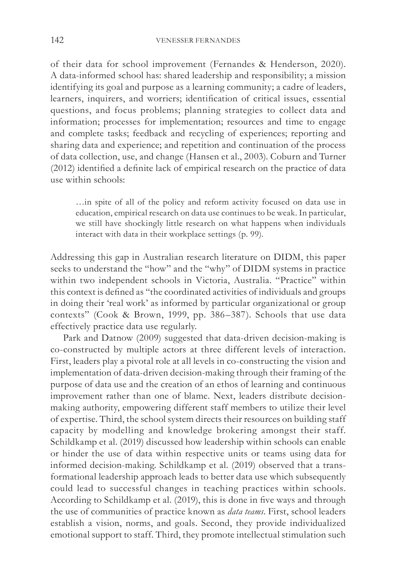of their data for school improvement (Fernandes & Henderson, 2020). A data-informed school has: shared leadership and responsibility; a mission identifying its goal and purpose as a learning community; a cadre of leaders, learners, inquirers, and worriers; identification of critical issues, essential questions, and focus problems; planning strategies to collect data and information; processes for implementation; resources and time to engage and complete tasks; feedback and recycling of experiences; reporting and sharing data and experience; and repetition and continuation of the process of data collection, use, and change (Hansen et al., 2003). Coburn and Turner (2012) identified a definite lack of empirical research on the practice of data use within schools:

…in spite of all of the policy and reform activity focused on data use in education, empirical research on data use continues to be weak. In particular, we still have shockingly little research on what happens when individuals interact with data in their workplace settings (p. 99).

Addressing this gap in Australian research literature on DIDM, this paper seeks to understand the "how" and the "why" of DIDM systems in practice within two independent schools in Victoria, Australia. "Practice" within this context is defined as "the coordinated activities of individuals and groups in doing their 'real work' as informed by particular organizational or group contexts" (Cook & Brown, 1999, pp. 386–387). Schools that use data effectively practice data use regularly.

Park and Datnow (2009) suggested that data-driven decision-making is co-constructed by multiple actors at three different levels of interaction. First, leaders play a pivotal role at all levels in co-constructing the vision and implementation of data-driven decision-making through their framing of the purpose of data use and the creation of an ethos of learning and continuous improvement rather than one of blame. Next, leaders distribute decisionmaking authority, empowering different staff members to utilize their level of expertise. Third, the school system directs their resources on building staff capacity by modelling and knowledge brokering amongst their staff. Schildkamp et al. (2019) discussed how leadership within schools can enable or hinder the use of data within respective units or teams using data for informed decision-making. Schildkamp et al. (2019) observed that a transformational leadership approach leads to better data use which subsequently could lead to successful changes in teaching practices within schools. According to Schildkamp et al. (2019), this is done in five ways and through the use of communities of practice known as *data teams*. First, school leaders establish a vision, norms, and goals. Second, they provide individualized emotional support to staff. Third, they promote intellectual stimulation such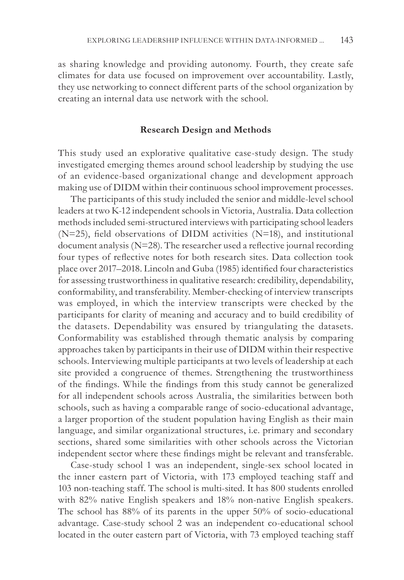as sharing knowledge and providing autonomy. Fourth, they create safe climates for data use focused on improvement over accountability. Lastly, they use networking to connect different parts of the school organization by creating an internal data use network with the school.

#### **Research Design and Methods**

This study used an explorative qualitative case-study design. The study investigated emerging themes around school leadership by studying the use of an evidence-based organizational change and development approach making use of DIDM within their continuous school improvement processes.

The participants of this study included the senior and middle-level school leaders at two K-12 independent schools in Victoria, Australia. Data collection methods included semi-structured interviews with participating school leaders (N=25), field observations of DIDM activities (N=18), and institutional document analysis (N=28). The researcher used a reflective journal recording four types of reflective notes for both research sites. Data collection took place over 2017–2018. Lincoln and Guba (1985) identified four characteristics for assessing trustworthiness in qualitative research: credibility, dependability, conformability, and transferability. Member-checking of interview transcripts was employed, in which the interview transcripts were checked by the participants for clarity of meaning and accuracy and to build credibility of the datasets. Dependability was ensured by triangulating the datasets. Conformability was established through thematic analysis by comparing approaches taken by participants in their use of DIDM within their respective schools. Interviewing multiple participants at two levels of leadership at each site provided a congruence of themes. Strengthening the trustworthiness of the findings. While the findings from this study cannot be generalized for all independent schools across Australia, the similarities between both schools, such as having a comparable range of socio-educational advantage, a larger proportion of the student population having English as their main language, and similar organizational structures, i.e. primary and secondary sections, shared some similarities with other schools across the Victorian independent sector where these findings might be relevant and transferable.

Case-study school 1 was an independent, single-sex school located in the inner eastern part of Victoria, with 173 employed teaching staff and 103 non-teaching staff. The school is multi-sited. It has 800 students enrolled with 82% native English speakers and 18% non-native English speakers. The school has 88% of its parents in the upper 50% of socio-educational advantage. Case-study school 2 was an independent co-educational school located in the outer eastern part of Victoria, with 73 employed teaching staff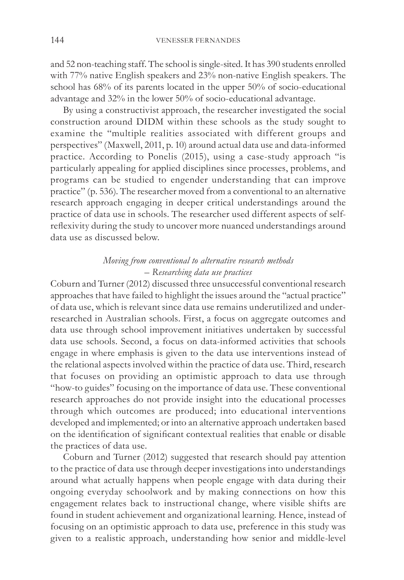and 52 non-teaching staff. The school is single-sited. It has 390 students enrolled with 77% native English speakers and 23% non-native English speakers. The school has 68% of its parents located in the upper 50% of socio-educational advantage and 32% in the lower 50% of socio-educational advantage.

By using a constructivist approach, the researcher investigated the social construction around DIDM within these schools as the study sought to examine the "multiple realities associated with different groups and perspectives" (Maxwell, 2011, p. 10) around actual data use and data-informed practice. According to Ponelis (2015), using a case-study approach "is particularly appealing for applied disciplines since processes, problems, and programs can be studied to engender understanding that can improve practice" (p. 536). The researcher moved from a conventional to an alternative research approach engaging in deeper critical understandings around the practice of data use in schools. The researcher used different aspects of selfreflexivity during the study to uncover more nuanced understandings around data use as discussed below.

# *Moving from conventional to alternative research methods – Researching data use practices*

Coburn and Turner (2012) discussed three unsuccessful conventional research approaches that have failed to highlight the issues around the "actual practice" of data use, which is relevant since data use remains underutilized and underresearched in Australian schools. First, a focus on aggregate outcomes and data use through school improvement initiatives undertaken by successful data use schools. Second, a focus on data-informed activities that schools engage in where emphasis is given to the data use interventions instead of the relational aspects involved within the practice of data use. Third, research that focuses on providing an optimistic approach to data use through "how-to guides" focusing on the importance of data use. These conventional research approaches do not provide insight into the educational processes through which outcomes are produced; into educational interventions developed and implemented; or into an alternative approach undertaken based on the identification of significant contextual realities that enable or disable the practices of data use.

Coburn and Turner (2012) suggested that research should pay attention to the practice of data use through deeper investigations into understandings around what actually happens when people engage with data during their ongoing everyday schoolwork and by making connections on how this engagement relates back to instructional change, where visible shifts are found in student achievement and organizational learning. Hence, instead of focusing on an optimistic approach to data use, preference in this study was given to a realistic approach, understanding how senior and middle-level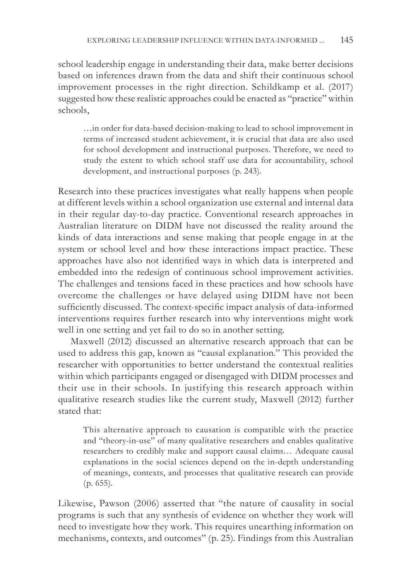school leadership engage in understanding their data, make better decisions based on inferences drawn from the data and shift their continuous school improvement processes in the right direction. Schildkamp et al. (2017) suggested how these realistic approaches could be enacted as "practice" within schools,

…in order for data-based decision-making to lead to school improvement in terms of increased student achievement, it is crucial that data are also used for school development and instructional purposes. Therefore, we need to study the extent to which school staff use data for accountability, school development, and instructional purposes (p. 243).

Research into these practices investigates what really happens when people at different levels within a school organization use external and internal data in their regular day-to-day practice. Conventional research approaches in Australian literature on DIDM have not discussed the reality around the kinds of data interactions and sense making that people engage in at the system or school level and how these interactions impact practice. These approaches have also not identified ways in which data is interpreted and embedded into the redesign of continuous school improvement activities. The challenges and tensions faced in these practices and how schools have overcome the challenges or have delayed using DIDM have not been sufficiently discussed. The context-specific impact analysis of data-informed interventions requires further research into why interventions might work well in one setting and yet fail to do so in another setting.

Maxwell (2012) discussed an alternative research approach that can be used to address this gap, known as "causal explanation." This provided the researcher with opportunities to better understand the contextual realities within which participants engaged or disengaged with DIDM processes and their use in their schools. In justifying this research approach within qualitative research studies like the current study, Maxwell (2012) further stated that:

This alternative approach to causation is compatible with the practice and "theory-in-use" of many qualitative researchers and enables qualitative researchers to credibly make and support causal claims… Adequate causal explanations in the social sciences depend on the in-depth understanding of meanings, contexts, and processes that qualitative research can provide (p. 655).

Likewise, Pawson (2006) asserted that "the nature of causality in social programs is such that any synthesis of evidence on whether they work will need to investigate how they work. This requires unearthing information on mechanisms, contexts, and outcomes" (p. 25). Findings from this Australian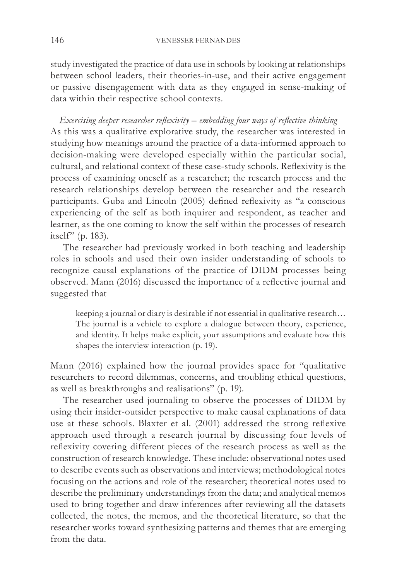study investigated the practice of data use in schools by looking at relationships between school leaders, their theories-in-use, and their active engagement or passive disengagement with data as they engaged in sense-making of data within their respective school contexts.

*Exercising deeper researcher reflexivity – embedding four ways of reflective thinking* As this was a qualitative explorative study, the researcher was interested in studying how meanings around the practice of a data-informed approach to decision-making were developed especially within the particular social, cultural, and relational context of these case-study schools. Reflexivity is the process of examining oneself as a researcher; the research process and the research relationships develop between the researcher and the research participants. Guba and Lincoln (2005) defined reflexivity as "a conscious experiencing of the self as both inquirer and respondent, as teacher and learner, as the one coming to know the self within the processes of research itself" (p. 183).

The researcher had previously worked in both teaching and leadership roles in schools and used their own insider understanding of schools to recognize causal explanations of the practice of DIDM processes being observed. Mann (2016) discussed the importance of a reflective journal and suggested that

keeping a journal or diary is desirable if not essential in qualitative research… The journal is a vehicle to explore a dialogue between theory, experience, and identity. It helps make explicit, your assumptions and evaluate how this shapes the interview interaction (p. 19).

Mann (2016) explained how the journal provides space for "qualitative researchers to record dilemmas, concerns, and troubling ethical questions, as well as breakthroughs and realisations" (p. 19).

The researcher used journaling to observe the processes of DIDM by using their insider-outsider perspective to make causal explanations of data use at these schools. Blaxter et al. (2001) addressed the strong reflexive approach used through a research journal by discussing four levels of reflexivity covering different pieces of the research process as well as the construction of research knowledge. These include: observational notes used to describe events such as observations and interviews; methodological notes focusing on the actions and role of the researcher; theoretical notes used to describe the preliminary understandings from the data; and analytical memos used to bring together and draw inferences after reviewing all the datasets collected, the notes, the memos, and the theoretical literature, so that the researcher works toward synthesizing patterns and themes that are emerging from the data.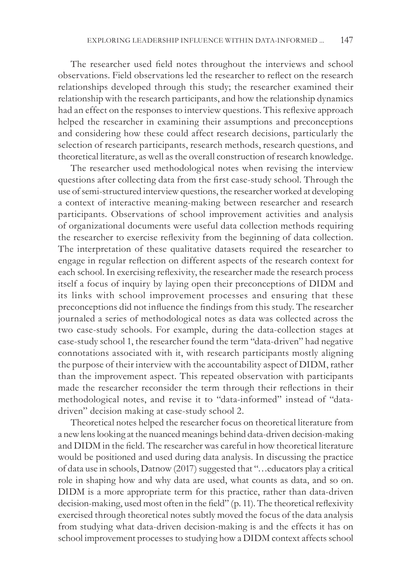The researcher used field notes throughout the interviews and school observations. Field observations led the researcher to reflect on the research relationships developed through this study; the researcher examined their relationship with the research participants, and how the relationship dynamics had an effect on the responses to interview questions. This reflexive approach helped the researcher in examining their assumptions and preconceptions and considering how these could affect research decisions, particularly the selection of research participants, research methods, research questions, and theoretical literature, as well as the overall construction of research knowledge.

The researcher used methodological notes when revising the interview questions after collecting data from the first case-study school. Through the use of semi-structured interview questions, the researcher worked at developing a context of interactive meaning-making between researcher and research participants. Observations of school improvement activities and analysis of organizational documents were useful data collection methods requiring the researcher to exercise reflexivity from the beginning of data collection. The interpretation of these qualitative datasets required the researcher to engage in regular reflection on different aspects of the research context for each school. In exercising reflexivity, the researcher made the research process itself a focus of inquiry by laying open their preconceptions of DIDM and its links with school improvement processes and ensuring that these preconceptions did not influence the findings from this study. The researcher journaled a series of methodological notes as data was collected across the two case-study schools. For example, during the data-collection stages at case-study school 1, the researcher found the term "data-driven" had negative connotations associated with it, with research participants mostly aligning the purpose of their interview with the accountability aspect of DIDM, rather than the improvement aspect. This repeated observation with participants made the researcher reconsider the term through their reflections in their methodological notes, and revise it to "data-informed" instead of "datadriven" decision making at case-study school 2.

Theoretical notes helped the researcher focus on theoretical literature from a new lens looking at the nuanced meanings behind data-driven decision-making and DIDM in the field. The researcher was careful in how theoretical literature would be positioned and used during data analysis. In discussing the practice of data use in schools, Datnow (2017) suggested that "…educators play a critical role in shaping how and why data are used, what counts as data, and so on. DIDM is a more appropriate term for this practice, rather than data-driven decision-making, used most often in the field" (p. 11). The theoretical reflexivity exercised through theoretical notes subtly moved the focus of the data analysis from studying what data-driven decision-making is and the effects it has on school improvement processes to studying how a DIDM context affects school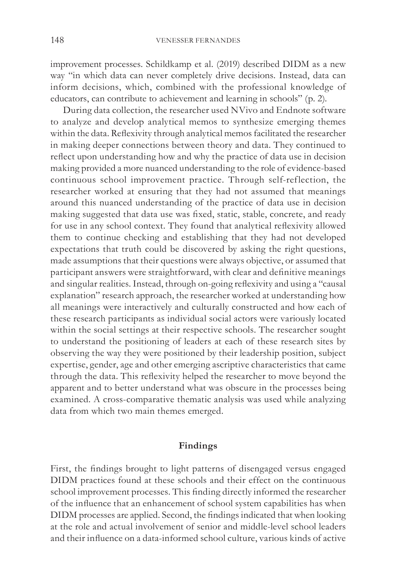improvement processes. Schildkamp et al. (2019) described DIDM as a new way "in which data can never completely drive decisions. Instead, data can inform decisions, which, combined with the professional knowledge of educators, can contribute to achievement and learning in schools" (p. 2).

During data collection, the researcher used NVivo and Endnote software to analyze and develop analytical memos to synthesize emerging themes within the data. Reflexivity through analytical memos facilitated the researcher in making deeper connections between theory and data. They continued to reflect upon understanding how and why the practice of data use in decision making provided a more nuanced understanding to the role of evidence-based continuous school improvement practice. Through self-reflection, the researcher worked at ensuring that they had not assumed that meanings around this nuanced understanding of the practice of data use in decision making suggested that data use was fixed, static, stable, concrete, and ready for use in any school context. They found that analytical reflexivity allowed them to continue checking and establishing that they had not developed expectations that truth could be discovered by asking the right questions, made assumptions that their questions were always objective, or assumed that participant answers were straightforward, with clear and definitive meanings and singular realities. Instead, through on-going reflexivity and using a "causal explanation" research approach, the researcher worked at understanding how all meanings were interactively and culturally constructed and how each of these research participants as individual social actors were variously located within the social settings at their respective schools. The researcher sought to understand the positioning of leaders at each of these research sites by observing the way they were positioned by their leadership position, subject expertise, gender, age and other emerging ascriptive characteristics that came through the data. This reflexivity helped the researcher to move beyond the apparent and to better understand what was obscure in the processes being examined. A cross-comparative thematic analysis was used while analyzing data from which two main themes emerged.

#### **Findings**

First, the findings brought to light patterns of disengaged versus engaged DIDM practices found at these schools and their effect on the continuous school improvement processes. This finding directly informed the researcher of the influence that an enhancement of school system capabilities has when DIDM processes are applied. Second, the findings indicated that when looking at the role and actual involvement of senior and middle-level school leaders and their influence on a data-informed school culture, various kinds of active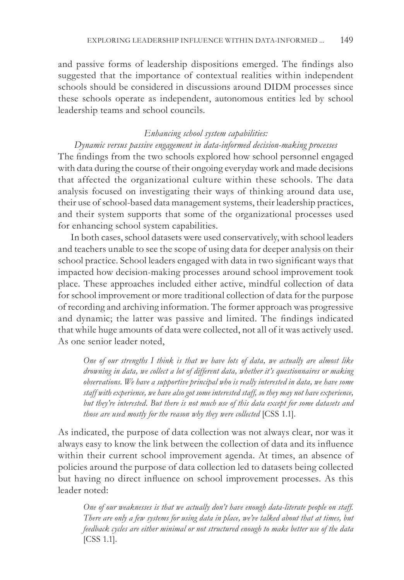and passive forms of leadership dispositions emerged. The findings also suggested that the importance of contextual realities within independent schools should be considered in discussions around DIDM processes since these schools operate as independent, autonomous entities led by school leadership teams and school councils.

## *Enhancing school system capabilities:*

*Dynamic versus passive engagement in data-informed decision-making processes* The findings from the two schools explored how school personnel engaged with data during the course of their ongoing everyday work and made decisions that affected the organizational culture within these schools. The data analysis focused on investigating their ways of thinking around data use, their use of school-based data management systems, their leadership practices, and their system supports that some of the organizational processes used for enhancing school system capabilities.

In both cases, school datasets were used conservatively, with school leaders and teachers unable to see the scope of using data for deeper analysis on their school practice. School leaders engaged with data in two significant ways that impacted how decision-making processes around school improvement took place. These approaches included either active, mindful collection of data for school improvement or more traditional collection of data for the purpose of recording and archiving information. The former approach was progressive and dynamic; the latter was passive and limited. The findings indicated that while huge amounts of data were collected, not all of it was actively used. As one senior leader noted,

*One of our strengths I think is that we have lots of data, we actually are almost like drowning in data, we collect a lot of different data, whether it's questionnaires or making observations. We have a supportive principal who is really interested in data, we have some staff with experience, we have also got some interested staff, so they may not have experience, but they're interested. But there is not much use of this data except for some datasets and those are used mostly for the reason why they were collected* [CSS 1.1].

As indicated, the purpose of data collection was not always clear, nor was it always easy to know the link between the collection of data and its influence within their current school improvement agenda. At times, an absence of policies around the purpose of data collection led to datasets being collected but having no direct influence on school improvement processes. As this leader noted:

*One of our weaknesses is that we actually don't have enough data-literate people on staff. There are only a few systems for using data in place, we've talked about that at times, but feedback cycles are either minimal or not structured enough to make better use of the data* [CSS 1.1].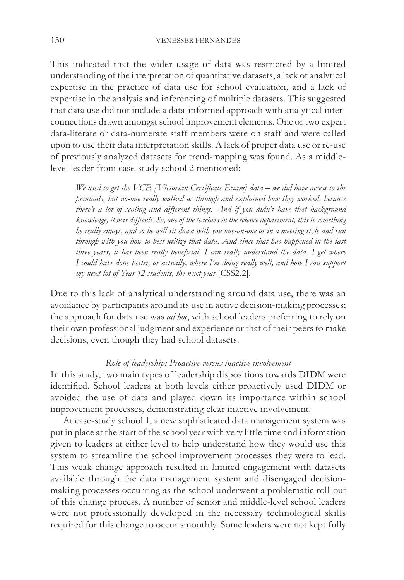This indicated that the wider usage of data was restricted by a limited understanding of the interpretation of quantitative datasets, a lack of analytical expertise in the practice of data use for school evaluation, and a lack of expertise in the analysis and inferencing of multiple datasets. This suggested that data use did not include a data-informed approach with analytical interconnections drawn amongst school improvement elements. One or two expert data-literate or data-numerate staff members were on staff and were called upon to use their data interpretation skills. A lack of proper data use or re-use of previously analyzed datasets for trend-mapping was found. As a middlelevel leader from case-study school 2 mentioned:

*We used to get the VCE [Victorian Certificate Exam] data – we did have access to the printouts, but no-one really walked us through and explained how they worked, because there's a lot of scaling and different things. And if you didn't have that background knowledge, it was difficult. So, one of the teachers in the science department, this is something he really enjoys, and so he will sit down with you one-on-one or in a meeting style and run through with you how to best utilize that data. And since that has happened in the last three years, it has been really beneficial. I can really understand the data. I get where I could have done better, or actually, where I'm doing really well, and how I can support my next lot of Year 12 students, the next year* [CSS2.2].

Due to this lack of analytical understanding around data use, there was an avoidance by participants around its use in active decision-making processes; the approach for data use was *ad hoc*, with school leaders preferring to rely on their own professional judgment and experience or that of their peers to make decisions, even though they had school datasets.

# *Role of leadership: Proactive versus inactive involvement*

In this study, two main types of leadership dispositions towards DIDM were identified. School leaders at both levels either proactively used DIDM or avoided the use of data and played down its importance within school improvement processes, demonstrating clear inactive involvement.

At case-study school 1, a new sophisticated data management system was put in place at the start of the school year with very little time and information given to leaders at either level to help understand how they would use this system to streamline the school improvement processes they were to lead. This weak change approach resulted in limited engagement with datasets available through the data management system and disengaged decisionmaking processes occurring as the school underwent a problematic roll-out of this change process. A number of senior and middle-level school leaders were not professionally developed in the necessary technological skills required for this change to occur smoothly. Some leaders were not kept fully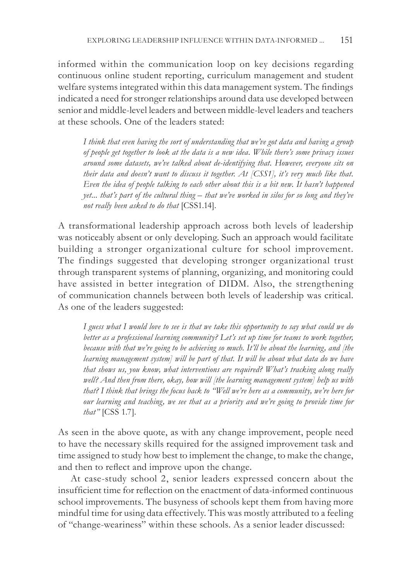informed within the communication loop on key decisions regarding continuous online student reporting, curriculum management and student welfare systems integrated within this data management system. The findings indicated a need for stronger relationships around data use developed between senior and middle-level leaders and between middle-level leaders and teachers at these schools. One of the leaders stated:

*I think that even having the sort of understanding that we've got data and having a group of people get together to look at the data is a new idea. While there's some privacy issues around some datasets, we've talked about de-identifying that. However, everyone sits on their data and doesn't want to discuss it together. At [CSS1], it's very much like that. Even the idea of people talking to each other about this is a bit new. It hasn't happened yet... that's part of the cultural thing – that we've worked in silos for so long and they've not really been asked to do that* [CSS1.14].

A transformational leadership approach across both levels of leadership was noticeably absent or only developing. Such an approach would facilitate building a stronger organizational culture for school improvement. The findings suggested that developing stronger organizational trust through transparent systems of planning, organizing, and monitoring could have assisted in better integration of DIDM. Also, the strengthening of communication channels between both levels of leadership was critical. As one of the leaders suggested:

*I guess what I would love to see is that we take this opportunity to say what could we do better as a professional learning community? Let's set up time for teams to work together, because with that we're going to be achieving so much. It'll be about the learning, and [the learning management system] will be part of that. It will be about what data do we have that shows us, you know, what interventions are required? What's tracking along really well? And then from there, okay, how will [the learning management system] help us with that? I think that brings the focus back to "Well we're here as a community, we're here for our learning and teaching, we see that as a priority and we're going to provide time for that"* [CSS 1.7].

As seen in the above quote, as with any change improvement, people need to have the necessary skills required for the assigned improvement task and time assigned to study how best to implement the change, to make the change, and then to reflect and improve upon the change.

At case-study school 2, senior leaders expressed concern about the insufficient time for reflection on the enactment of data-informed continuous school improvements. The busyness of schools kept them from having more mindful time for using data effectively. This was mostly attributed to a feeling of "change-weariness" within these schools. As a senior leader discussed: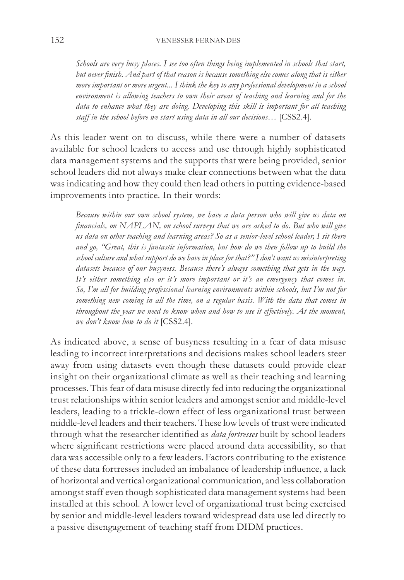*Schools are very busy places. I see too often things being implemented in schools that start, but never finish. And part of that reason is because something else comes along that is either more important or more urgent... I think the key to any professional development in a school environment is allowing teachers to own their areas of teaching and learning and for the data to enhance what they are doing. Developing this skill is important for all teaching staff in the school before we start using data in all our decisions…* [CSS2.4].

As this leader went on to discuss, while there were a number of datasets available for school leaders to access and use through highly sophisticated data management systems and the supports that were being provided, senior school leaders did not always make clear connections between what the data was indicating and how they could then lead others in putting evidence-based improvements into practice. In their words:

*Because within our own school system, we have a data person who will give us data on financials, on NAPLAN, on school surveys that we are asked to do. But who will give us data on other teaching and learning areas? So as a senior-level school leader, I sit there and go, "Great, this is fantastic information, but how do we then follow up to build the school culture and what support do we have in place for that?" I don't want us misinterpreting datasets because of our busyness. Because there's always something that gets in the way. It's either something else or it's more important or it's an emergency that comes in. So, I'm all for building professional learning environments within schools, but I'm not for something new coming in all the time, on a regular basis. With the data that comes in throughout the year we need to know when and how to use it effectively. At the moment, we don't know how to do it* [CSS2.4].

As indicated above, a sense of busyness resulting in a fear of data misuse leading to incorrect interpretations and decisions makes school leaders steer away from using datasets even though these datasets could provide clear insight on their organizational climate as well as their teaching and learning processes. This fear of data misuse directly fed into reducing the organizational trust relationships within senior leaders and amongst senior and middle-level leaders, leading to a trickle-down effect of less organizational trust between middle-level leaders and their teachers. These low levels of trust were indicated through what the researcher identified as *data fortresses* built by school leaders where significant restrictions were placed around data accessibility, so that data was accessible only to a few leaders. Factors contributing to the existence of these data fortresses included an imbalance of leadership influence, a lack of horizontal and vertical organizational communication, and less collaboration amongst staff even though sophisticated data management systems had been installed at this school. A lower level of organizational trust being exercised by senior and middle-level leaders toward widespread data use led directly to a passive disengagement of teaching staff from DIDM practices.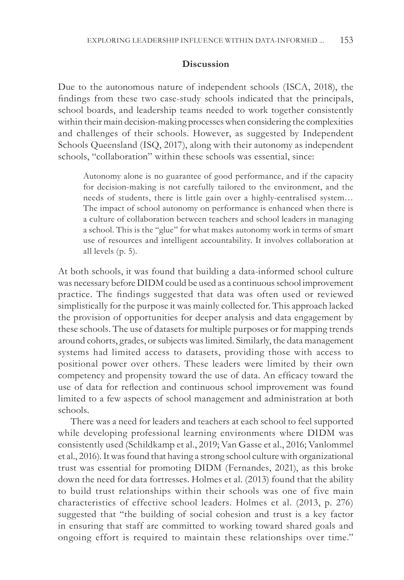## **Discussion**

Due to the autonomous nature of independent schools (ISCA, 2018), the findings from these two case-study schools indicated that the principals, school boards, and leadership teams needed to work together consistently within their main decision-making processes when considering the complexities and challenges of their schools. However, as suggested by Independent Schools Queensland (ISQ, 2017), along with their autonomy as independent schools, "collaboration" within these schools was essential, since:

Autonomy alone is no guarantee of good performance, and if the capacity for decision-making is not carefully tailored to the environment, and the needs of students, there is little gain over a highly-centralised system… The impact of school autonomy on performance is enhanced when there is a culture of collaboration between teachers and school leaders in managing a school. This is the "glue" for what makes autonomy work in terms of smart use of resources and intelligent accountability. It involves collaboration at all levels (p. 5).

At both schools, it was found that building a data-informed school culture was necessary before DIDM could be used as a continuous school improvement practice. The findings suggested that data was often used or reviewed simplistically for the purpose it was mainly collected for. This approach lacked the provision of opportunities for deeper analysis and data engagement by these schools. The use of datasets for multiple purposes or for mapping trends around cohorts, grades, or subjects was limited. Similarly, the data management systems had limited access to datasets, providing those with access to positional power over others. These leaders were limited by their own competency and propensity toward the use of data. An efficacy toward the use of data for reflection and continuous school improvement was found limited to a few aspects of school management and administration at both schools.

There was a need for leaders and teachers at each school to feel supported while developing professional learning environments where DIDM was consistently used (Schildkamp et al., 2019; Van Gasse et al., 2016; Vanlommel et al., 2016). It was found that having a strong school culture with organizational trust was essential for promoting DIDM (Fernandes, 2021), as this broke down the need for data fortresses. Holmes et al. (2013) found that the ability to build trust relationships within their schools was one of five main characteristics of effective school leaders. Holmes et al. (2013, p. 276) suggested that "the building of social cohesion and trust is a key factor in ensuring that staff are committed to working toward shared goals and ongoing effort is required to maintain these relationships over time."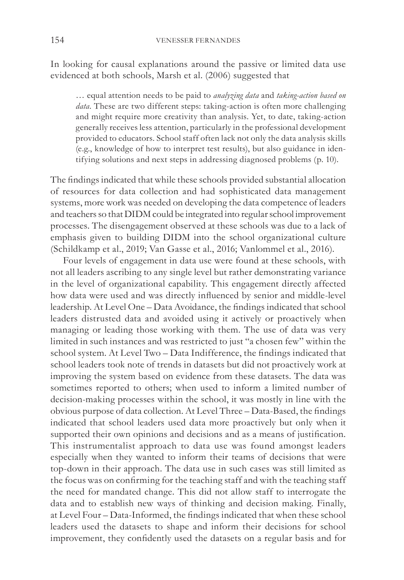In looking for causal explanations around the passive or limited data use evidenced at both schools, Marsh et al. (2006) suggested that

… equal attention needs to be paid to *analyzing data* and *taking-action based on data*. These are two different steps: taking-action is often more challenging and might require more creativity than analysis. Yet, to date, taking-action generally receives less attention, particularly in the professional development provided to educators. School staff often lack not only the data analysis skills (e.g., knowledge of how to interpret test results), but also guidance in identifying solutions and next steps in addressing diagnosed problems (p. 10).

The findings indicated that while these schools provided substantial allocation of resources for data collection and had sophisticated data management systems, more work was needed on developing the data competence of leaders and teachers so that DIDM could be integrated into regular school improvement processes. The disengagement observed at these schools was due to a lack of emphasis given to building DIDM into the school organizational culture (Schildkamp et al., 2019; Van Gasse et al., 2016; Vanlommel et al., 2016).

Four levels of engagement in data use were found at these schools, with not all leaders ascribing to any single level but rather demonstrating variance in the level of organizational capability. This engagement directly affected how data were used and was directly influenced by senior and middle-level leadership. At Level One – Data Avoidance, the findings indicated that school leaders distrusted data and avoided using it actively or proactively when managing or leading those working with them. The use of data was very limited in such instances and was restricted to just "a chosen few" within the school system. At Level Two – Data Indifference, the findings indicated that school leaders took note of trends in datasets but did not proactively work at improving the system based on evidence from these datasets. The data was sometimes reported to others; when used to inform a limited number of decision-making processes within the school, it was mostly in line with the obvious purpose of data collection. At Level Three – Data-Based, the findings indicated that school leaders used data more proactively but only when it supported their own opinions and decisions and as a means of justification. This instrumentalist approach to data use was found amongst leaders especially when they wanted to inform their teams of decisions that were top-down in their approach. The data use in such cases was still limited as the focus was on confirming for the teaching staff and with the teaching staff the need for mandated change. This did not allow staff to interrogate the data and to establish new ways of thinking and decision making. Finally, at Level Four – Data-Informed, the findings indicated that when these school leaders used the datasets to shape and inform their decisions for school improvement, they confidently used the datasets on a regular basis and for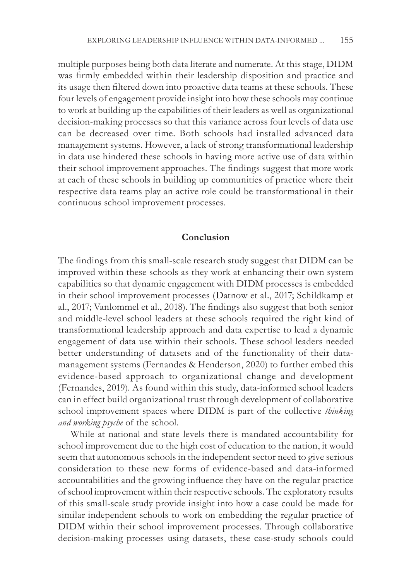multiple purposes being both data literate and numerate. At this stage, DIDM was firmly embedded within their leadership disposition and practice and its usage then filtered down into proactive data teams at these schools. These four levels of engagement provide insight into how these schools may continue to work at building up the capabilities of their leaders as well as organizational decision-making processes so that this variance across four levels of data use can be decreased over time. Both schools had installed advanced data management systems. However, a lack of strong transformational leadership in data use hindered these schools in having more active use of data within their school improvement approaches. The findings suggest that more work at each of these schools in building up communities of practice where their respective data teams play an active role could be transformational in their continuous school improvement processes.

#### **Conclusion**

The findings from this small-scale research study suggest that DIDM can be improved within these schools as they work at enhancing their own system capabilities so that dynamic engagement with DIDM processes is embedded in their school improvement processes (Datnow et al., 2017; Schildkamp et al., 2017; Vanlommel et al., 2018). The findings also suggest that both senior and middle-level school leaders at these schools required the right kind of transformational leadership approach and data expertise to lead a dynamic engagement of data use within their schools. These school leaders needed better understanding of datasets and of the functionality of their datamanagement systems (Fernandes & Henderson, 2020) to further embed this evidence-based approach to organizational change and development (Fernandes, 2019). As found within this study, data-informed school leaders can in effect build organizational trust through development of collaborative school improvement spaces where DIDM is part of the collective *thinking and working psyche* of the school.

While at national and state levels there is mandated accountability for school improvement due to the high cost of education to the nation, it would seem that autonomous schools in the independent sector need to give serious consideration to these new forms of evidence-based and data-informed accountabilities and the growing influence they have on the regular practice of school improvement within their respective schools. The exploratory results of this small-scale study provide insight into how a case could be made for similar independent schools to work on embedding the regular practice of DIDM within their school improvement processes. Through collaborative decision-making processes using datasets, these case-study schools could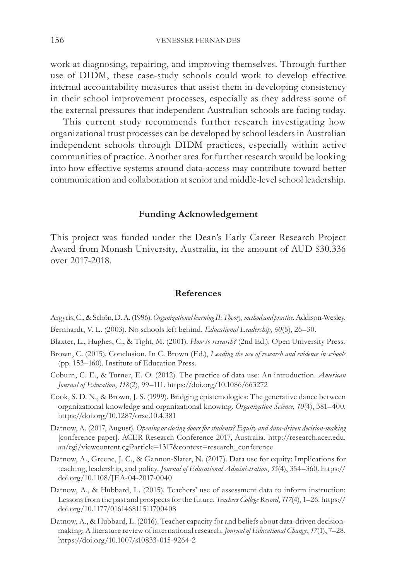work at diagnosing, repairing, and improving themselves. Through further use of DIDM, these case-study schools could work to develop effective internal accountability measures that assist them in developing consistency in their school improvement processes, especially as they address some of the external pressures that independent Australian schools are facing today.

This current study recommends further research investigating how organizational trust processes can be developed by school leaders in Australian independent schools through DIDM practices, especially within active communities of practice. Another area for further research would be looking into how effective systems around data-access may contribute toward better communication and collaboration at senior and middle-level school leadership.

#### **Funding Acknowledgement**

This project was funded under the Dean's Early Career Research Project Award from Monash University, Australia, in the amount of AUD \$30,336 over 2017-2018.

#### **References**

- Argyris, C., & Schön, D. A. (1996). *Organizational learning II: Theory, method and practice.* Addison-Wesley. Bernhardt, V. L. (2003). No schools left behind. *Educational Leadership*, *60*(5), 26–30.
- Blaxter, L., Hughes, C., & Tight, M. (2001). *How to research?* (2nd Ed.). Open University Press.
- Brown, C. (2015). Conclusion. In C. Brown (Ed.), *Leading the use of research and evidence in schools* (pp. 153–160). Institute of Education Press.
- Coburn, C. E., & Turner, E. O. (2012). The practice of data use: An introduction. *American Journal of Education*, *118*(2), 99–111. https://doi.org/10.1086/663272
- Cook, S. D. N., & Brown, J. S. (1999). Bridging epistemologies: The generative dance between organizational knowledge and organizational knowing. *Organization Science*, *10*(4), 381–400. https://doi.org/10.1287/orsc.10.4.381
- Datnow, A. (2017, August). *Opening or closing doors for students? Equity and data-driven decision-making*  [conference paper]. ACER Research Conference 2017, Australia. http://research.acer.edu. au/cgi/viewcontent.cgi?article=1317&context=research\_conference
- Datnow, A., Greene, J. C., & Gannon-Slater, N. (2017). Data use for equity: Implications for teaching, leadership, and policy. *Journal of Educational Administration*, *55*(4), 354–360. https:// doi.org/10.1108/JEA-04-2017-0040
- Datnow, A., & Hubbard, L. (2015). Teachers' use of assessment data to inform instruction: Lessons from the past and prospects for the future. *Teachers College Record*, *117*(4), 1–26. https:// doi.org/10.1177/016146811511700408
- Datnow, A., & Hubbard, L. (2016). Teacher capacity for and beliefs about data-driven decisionmaking: A literature review of international research. *Journal of Educational Change*, *17*(1), 7–28. https://doi.org/10.1007/s10833-015-9264-2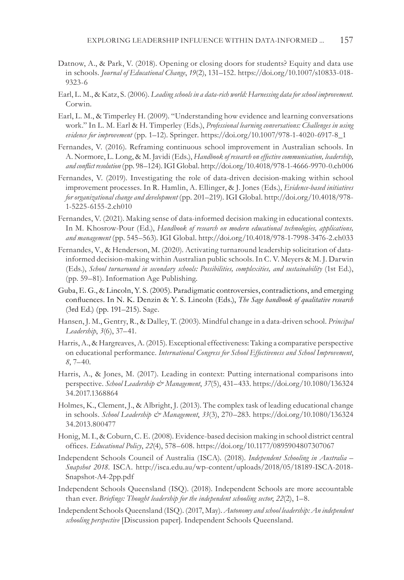- Datnow, A., & Park, V. (2018). Opening or closing doors for students? Equity and data use in schools. *Journal of Educational Change*, *19*(2), 131–152. https://doi.org/10.1007/s10833-018- 9323-6
- Earl, L. M., & Katz, S. (2006). *Leading schools in a data-rich world: Harnessing data for school improvement.* Corwin.
- Earl, L. M., & Timperley H. (2009). "Understanding how evidence and learning conversations work." In L. M. Earl & H. Timperley (Eds.), *Professional learning conversations: Challenges in using evidence for improvement* (pp. 1–12). Springer. https://doi.org/10.1007/978-1-4020-6917-8\_1
- Fernandes, V. (2016). Reframing continuous school improvement in Australian schools. In A. Normore, L. Long, & M. Javidi (Eds.), *Handbook of research on effective communication, leadership, and conflict resolution* (pp. 98–124). IGI Global. http://doi.org/10.4018/978-1-4666-9970-0.ch006
- Fernandes, V. (2019). Investigating the role of data-driven decision-making within school improvement processes. In R. Hamlin, A. Ellinger, & J. Jones (Eds.), *Evidence-based initiatives for organizational change and development* (pp. 201–219). IGI Global. http://doi.org/10.4018/978- 1-5225-6155-2.ch010
- Fernandes, V. (2021). Making sense of data-informed decision making in educational contexts. In M. Khosrow-Pour (Ed.), *Handbook of research on modern educational technologies, applications, and management* (pp. 545–563). IGI Global. http://doi.org/10.4018/978-1-7998-3476-2.ch033
- Fernandes, V., & Henderson, M. (2020). Activating turnaround leadership solicitation of datainformed decision-making within Australian public schools. In C. V. Meyers & M. J. Darwin (Eds.), *School turnaround in secondary schools: Possibilities, complexities, and sustainability* (1st Ed.), (pp. 59–81). Information Age Publishing.
- Guba, E. G., & Lincoln, Y. S. (2005). Paradigmatic controversies, contradictions, and emerging confluences. In N. K. Denzin & Y. S. Lincoln (Eds.), *The Sage handbook of qualitative research* (3rd Ed.) (pp. 191–215). Sage.
- Hansen, J. M., Gentry, R., & Dalley, T. (2003). Mindful change in a data-driven school. *Principal Leadership*, *3*(6), 37–41.
- Harris, A., & Hargreaves, A. (2015). Exceptional effectiveness: Taking a comparative perspective on educational performance. *International Congress for School Effectiveness and School Improvement*, *8*, 7–40.
- Harris, A., & Jones, M. (2017). Leading in context: Putting international comparisons into perspective. *School Leadership & Management*, *37*(5), 431–433. https://doi.org/10.1080/136324 34.2017.1368864
- Holmes, K., Clement, J., & Albright, J. (2013). The complex task of leading educational change in schools. *School Leadership & Management*, *33*(3), 270–283. https://doi.org/10.1080/136324 34.2013.800477
- Honig, M. I., & Coburn, C. E. (2008). Evidence-based decision making in school district central offices. *Educational Policy*, *22*(4), 578–608. https://doi.org/10.1177/0895904807307067
- Independent Schools Council of Australia (ISCA). (2018). *Independent Schooling in Australia Snapshot 2018*. ISCA. http://isca.edu.au/wp-content/uploads/2018/05/18189-ISCA-2018- Snapshot-A4-2pp.pdf
- Independent Schools Queensland (ISQ). (2018). Independent Schools are more accountable than ever. *Briefings: Thought leadership for the independent schooling sector*, *22*(2), 1–8.
- Independent Schools Queensland (ISQ). (2017, May). *Autonomy and school leadership: An independent schooling perspective* [Discussion paper]. Independent Schools Queensland.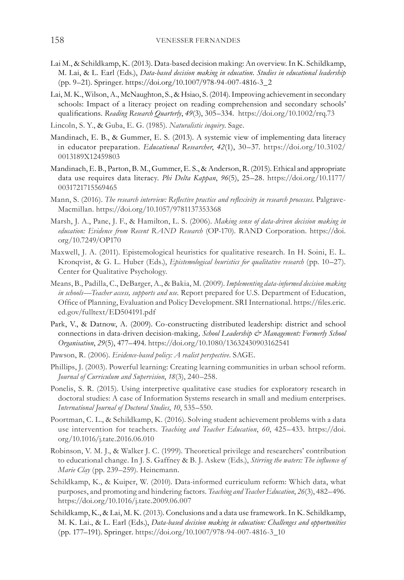- Lai M., & Schildkamp, K. (2013). Data-based decision making: An overview. In K. Schildkamp, M. Lai, & L. Earl (Eds.), *Data-based decision making in education. Studies in educational leadership*  (pp. 9–21). Springer. https://doi.org/10.1007/978-94-007-4816-3\_2
- Lai, M. K., Wilson, A., McNaughton, S., & Hsiao, S. (2014). Improving achievement in secondary schools: Impact of a literacy project on reading comprehension and secondary schools' qualifications. *Reading Research Quarterly*, *49*(3), 305–334. https://doi.org/10.1002/rrq.73
- Lincoln, S. Y., & Guba, E. G. (1985). *Naturalistic inquiry*. Sage.
- Mandinach, E. B., & Gummer, E. S. (2013). A systemic view of implementing data literacy in educator preparation. *Educational Researcher*, *42*(1), 30–37. https://doi.org/10.3102/ 0013189X12459803
- Mandinach, E. B., Parton, B. M., Gummer, E. S., & Anderson, R. (2015). Ethical and appropriate data use requires data literacy. *Phi Delta Kappan*, *96*(5), 25–28. https://doi.org/10.1177/ 0031721715569465
- Mann, S. (2016). *The research interview: Reflective practice and reflexivity in research processes*. Palgrave-Macmillan. https://doi.org/10.1057/9781137353368
- Marsh, J. A., Pane, J. F., & Hamilton, L. S. (2006). *Making sense of data-driven decision making in education: Evidence from Recent RAND Research* (OP-170). RAND Corporation. https://doi. org/10.7249/OP170
- Maxwell, J. A. (2011). Epistemological heuristics for qualitative research. In H. Soini, E. L. Kronqvist, & G. L. Huber (Eds.), *Epistemological heuristics for qualitative research* (pp. 10–27)*.* Center for Qualitative Psychology.
- Means, B., Padilla, C., DeBarger, A., & Bakia, M. (2009). *Implementing data-informed decision making in schools—Teacher access, supports and use.* Report prepared for U.S. Department of Education, Office of Planning, Evaluation and Policy Development. SRI International. https://files.eric. ed.gov/fulltext/ED504191.pdf
- Park, V., & Datnow, A. (2009). Co-constructing distributed leadership: district and school connections in data-driven decision-making, School Leadership & Management: Formerly School *Organisation*, *29*(5), 477–494. https://doi.org/10.1080/13632430903162541
- Pawson, R. (2006). *Evidence-based policy: A realist perspective*. SAGE.
- Phillips, J. (2003). Powerful learning: Creating learning communities in urban school reform. *Journal of Curriculum and Supervision*, *18*(3), 240–258.
- Ponelis, S. R. (2015). Using interpretive qualitative case studies for exploratory research in doctoral studies: A case of Information Systems research in small and medium enterprises. *International Journal of Doctoral Studies*, *10*, 535–550.
- Poortman, C. L., & Schildkamp, K. (2016). Solving student achievement problems with a data use intervention for teachers. *Teaching and Teacher Education*, *60*, 425–433. https://doi. org/10.1016/j.tate.2016.06.010
- Robinson, V. M. J., & Walker J. C. (1999). Theoretical privilege and researchers' contribution to educational change. In J. S. Gaffney & B. J. Askew (Eds.), *Stirring the waters: The influence of Marie Clay* (pp. 239–259). Heinemann.
- Schildkamp, K., & Kuiper, W. (2010). Data-informed curriculum reform: Which data, what purposes, and promoting and hindering factors. *Teaching and Teacher Education*, *26*(3), 482–496. https://doi.org/10.1016/j.tate.2009.06.007
- Schildkamp, K., & Lai, M. K. (2013). Conclusions and a data use framework. In K. Schildkamp, M. K. Lai., & L. Earl (Eds.), *Data-based decision making in education: Challenges and opportunities* (pp. 177–191). Springer. https://doi.org/10.1007/978-94-007-4816-3\_10